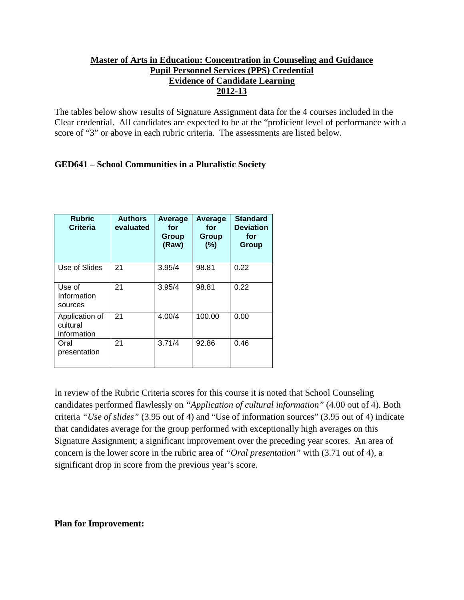# **Master of Arts in Education: Concentration in Counseling and Guidance Pupil Personnel Services (PPS) Credential Evidence of Candidate Learning 2012-13**

The tables below show results of Signature Assignment data for the 4 courses included in the Clear credential. All candidates are expected to be at the "proficient level of performance with a score of "3" or above in each rubric criteria. The assessments are listed below.

# **GED641 – School Communities in a Pluralistic Society**

| <b>Rubric</b><br><b>Criteria</b>          | <b>Authors</b><br>evaluated | Average<br>for<br>Group<br>(Raw) | Average<br>for<br>Group<br>(%) | <b>Standard</b><br><b>Deviation</b><br>for<br>Group |
|-------------------------------------------|-----------------------------|----------------------------------|--------------------------------|-----------------------------------------------------|
| Use of Slides                             | 21                          | 3.95/4                           | 98.81                          | 0.22                                                |
| Use of<br>Information<br>sources          | 21                          | 3.95/4                           | 98.81                          | 0.22                                                |
| Application of<br>cultural<br>information | 21                          | 4.00/4                           | 100.00                         | 0.00                                                |
| Oral<br>presentation                      | 21                          | 3.71/4                           | 92.86                          | 0.46                                                |

In review of the Rubric Criteria scores for this course it is noted that School Counseling candidates performed flawlessly on *"Application of cultural information"* (4.00 out of 4). Both criteria *"Use of slides"* (3.95 out of 4) and "Use of information sources" (3.95 out of 4) indicate that candidates average for the group performed with exceptionally high averages on this Signature Assignment; a significant improvement over the preceding year scores. An area of concern is the lower score in the rubric area of *"Oral presentation"* with (3.71 out of 4), a significant drop in score from the previous year's score.

#### **Plan for Improvement:**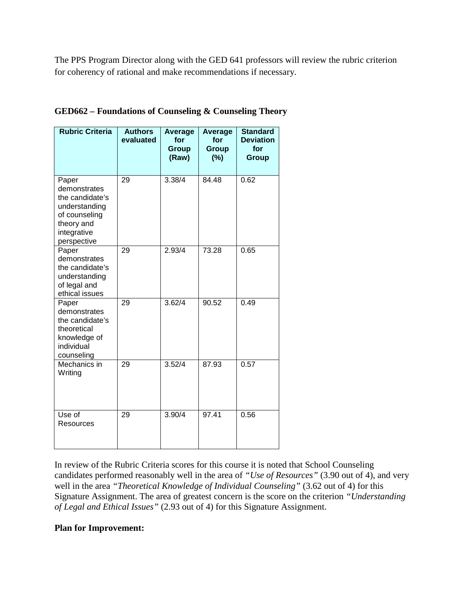The PPS Program Director along with the GED 641 professors will review the rubric criterion for coherency of rational and make recommendations if necessary.

| <b>Rubric Criteria</b>                                                                                                 | <b>Authors</b><br>evaluated | <b>Average</b><br>for<br>Group<br>(Raw) | Average<br>for<br><b>Group</b><br>(%) | <b>Standard</b><br><b>Deviation</b><br>for<br><b>Group</b> |
|------------------------------------------------------------------------------------------------------------------------|-----------------------------|-----------------------------------------|---------------------------------------|------------------------------------------------------------|
| Paper<br>demonstrates<br>the candidate's<br>understanding<br>of counseling<br>theory and<br>integrative<br>perspective | 29                          | 3.38/4                                  | 84.48                                 | 0.62                                                       |
| Paper<br>demonstrates<br>the candidate's<br>understanding<br>of legal and<br>ethical issues                            | 29                          | 2.93/4                                  | 73.28                                 | 0.65                                                       |
| Paper<br>demonstrates<br>the candidate's<br>theoretical<br>knowledge of<br>individual<br>counseling                    | 29                          | 3.62/4                                  | 90.52                                 | 0.49                                                       |
| Mechanics in<br>Writing                                                                                                | 29                          | $3.52\overline{4}$                      | 87.93                                 | 0.57                                                       |
| Use of<br>Resources                                                                                                    | 29                          | 3.90/4                                  | 97.41                                 | 0.56                                                       |

**GED662 – Foundations of Counseling & Counseling Theory**

In review of the Rubric Criteria scores for this course it is noted that School Counseling candidates performed reasonably well in the area of *"Use of Resources"* (3.90 out of 4), and very well in the area *"Theoretical Knowledge of Individual Counseling"* (3.62 out of 4) for this Signature Assignment. The area of greatest concern is the score on the criterion *"Understanding of Legal and Ethical Issues"* (2.93 out of 4) for this Signature Assignment.

# **Plan for Improvement:**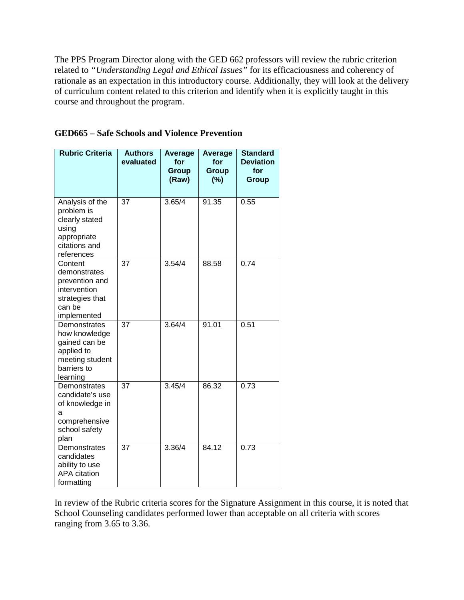The PPS Program Director along with the GED 662 professors will review the rubric criterion related to *"Understanding Legal and Ethical Issues"* for its efficaciousness and coherency of rationale as an expectation in this introductory course. Additionally, they will look at the delivery of curriculum content related to this criterion and identify when it is explicitly taught in this course and throughout the program.

| <b>Rubric Criteria</b>                                                                                     | <b>Authors</b><br>evaluated | Average<br>for<br><b>Group</b><br>(Raw) | Average<br>for<br><b>Group</b><br>$(\%)$ | <b>Standard</b><br><b>Deviation</b><br>for<br><b>Group</b> |
|------------------------------------------------------------------------------------------------------------|-----------------------------|-----------------------------------------|------------------------------------------|------------------------------------------------------------|
| Analysis of the<br>problem is<br>clearly stated<br>using<br>appropriate<br>citations and<br>references     | 37                          | 3.65/4                                  | 91.35                                    | 0.55                                                       |
| Content<br>demonstrates<br>prevention and<br>intervention<br>strategies that<br>can be<br>implemented      | 37                          | 3.54/4                                  | 88.58                                    | 0.74                                                       |
| Demonstrates<br>how knowledge<br>gained can be<br>applied to<br>meeting student<br>barriers to<br>learning | 37                          | 3.64/4                                  | 91.01                                    | 0.51                                                       |
| Demonstrates<br>candidate's use<br>of knowledge in<br>а<br>comprehensive<br>school safety<br>plan          | 37                          | 3.45/4                                  | 86.32                                    | 0.73                                                       |
| Demonstrates<br>candidates<br>ability to use<br><b>APA</b> citation<br>formatting                          | 37                          | 3.36/4                                  | 84.12                                    | 0.73                                                       |

# **GED665 – Safe Schools and Violence Prevention**

In review of the Rubric criteria scores for the Signature Assignment in this course, it is noted that School Counseling candidates performed lower than acceptable on all criteria with scores ranging from 3.65 to 3.36.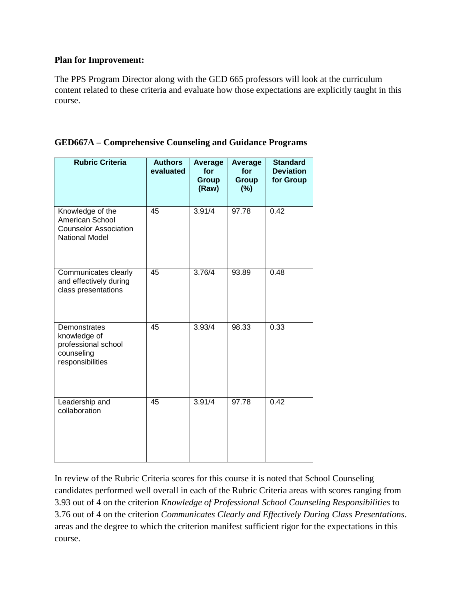### **Plan for Improvement:**

The PPS Program Director along with the GED 665 professors will look at the curriculum content related to these criteria and evaluate how those expectations are explicitly taught in this course.

| <b>Rubric Criteria</b>                                                                       | <b>Authors</b><br>evaluated | Average<br>for<br><b>Group</b><br>(Raw) | Average<br>for<br><b>Group</b><br>(%) | <b>Standard</b><br><b>Deviation</b><br>for Group |
|----------------------------------------------------------------------------------------------|-----------------------------|-----------------------------------------|---------------------------------------|--------------------------------------------------|
| Knowledge of the<br>American School<br><b>Counselor Association</b><br><b>National Model</b> | 45                          | 3.91/4                                  | 97.78                                 | 0.42                                             |
| Communicates clearly<br>and effectively during<br>class presentations                        | 45                          | 3.76/4                                  | 93.89                                 | 0.48                                             |
| Demonstrates<br>knowledge of<br>professional school<br>counseling<br>responsibilities        | 45                          | 3.93/4                                  | 98.33                                 | 0.33                                             |
| Leadership and<br>collaboration                                                              | 45                          | 3.91/4                                  | 97.78                                 | 0.42                                             |

### **GED667A – Comprehensive Counseling and Guidance Programs**

In review of the Rubric Criteria scores for this course it is noted that School Counseling candidates performed well overall in each of the Rubric Criteria areas with scores ranging from 3.93 out of 4 on the criterion *Knowledge of Professional School Counseling Responsibilities* to 3.76 out of 4 on the criterion *Communicates Clearly and Effectively During Class Presentations*. areas and the degree to which the criterion manifest sufficient rigor for the expectations in this course.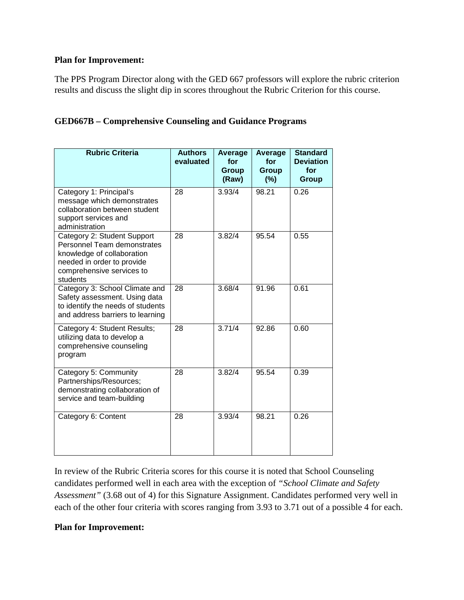### **Plan for Improvement:**

The PPS Program Director along with the GED 667 professors will explore the rubric criterion results and discuss the slight dip in scores throughout the Rubric Criterion for this course.

# **GED667B – Comprehensive Counseling and Guidance Programs**

| <b>Rubric Criteria</b>                                                                                                                                          | <b>Authors</b><br>evaluated | Average<br>for<br><b>Group</b><br>(Raw) | Average<br>for<br><b>Group</b><br>(%) | <b>Standard</b><br><b>Deviation</b><br>for<br><b>Group</b> |
|-----------------------------------------------------------------------------------------------------------------------------------------------------------------|-----------------------------|-----------------------------------------|---------------------------------------|------------------------------------------------------------|
| Category 1: Principal's<br>message which demonstrates<br>collaboration between student<br>support services and<br>administration                                | 28                          | 3.93/4                                  | 98.21                                 | 0.26                                                       |
| Category 2: Student Support<br>Personnel Team demonstrates<br>knowledge of collaboration<br>needed in order to provide<br>comprehensive services to<br>students | 28                          | 3.82/4                                  | 95.54                                 | 0.55                                                       |
| Category 3: School Climate and<br>Safety assessment. Using data<br>to identify the needs of students<br>and address barriers to learning                        | 28                          | 3.68/4                                  | 91.96                                 | 0.61                                                       |
| Category 4: Student Results;<br>utilizing data to develop a<br>comprehensive counseling<br>program                                                              | 28                          | 3.71/4                                  | 92.86                                 | 0.60                                                       |
| Category 5: Community<br>Partnerships/Resources;<br>demonstrating collaboration of<br>service and team-building                                                 | 28                          | 3.82/4                                  | 95.54                                 | 0.39                                                       |
| Category 6: Content                                                                                                                                             | 28                          | 3.93/4                                  | 98.21                                 | 0.26                                                       |

In review of the Rubric Criteria scores for this course it is noted that School Counseling candidates performed well in each area with the exception of *"School Climate and Safety Assessment"* (3.68 out of 4) for this Signature Assignment. Candidates performed very well in each of the other four criteria with scores ranging from 3.93 to 3.71 out of a possible 4 for each.

# **Plan for Improvement:**